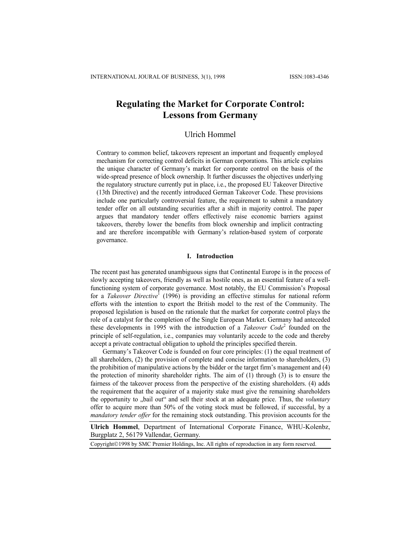# **Regulating the Market for Corporate Control: Lessons from Germany**

# Ulrich Hommel

Contrary to common belief, takeovers represent an important and frequently employed mechanism for correcting control deficits in German corporations. This article explains the unique character of Germany's market for corporate control on the basis of the wide-spread presence of block ownership. It further discusses the objectives underlying the regulatory structure currently put in place, i.e., the proposed EU Takeover Directive (13th Directive) and the recently introduced German Takeover Code. These provisions include one particularly controversial feature, the requirement to submit a mandatory tender offer on all outstanding securities after a shift in majority control. The paper argues that mandatory tender offers effectively raise economic barriers against takeovers, thereby lower the benefits from block ownership and implicit contracting and are therefore incompatible with Germany's relation-based system of corporate governance.

### **I. Introduction**

The recent past has generated unambiguous signs that Continental Europe is in the process of slowly accepting takeovers, friendly as well as hostile ones, as an essential feature of a wellfunctioning system of corporate governance. Most notably, the EU Commission's Proposal for a *Takeover Directive*<sup>1</sup> (1996) is providing an effective stimulus for national reform efforts with the intention to export the British model to the rest of the Community. The proposed legislation is based on the rationale that the market for corporate control plays the role of a catalyst for the completion of the Single European Market. Germany had anteceded these developments in 1995 with the introduction of a *Takeover Code* 2 founded on the principle of self-regulation, i.e., companies may voluntarily accede to the code and thereby accept a private contractual obligation to uphold the principles specified therein.

Germany's Takeover Code is founded on four core principles: (1) the equal treatment of all shareholders, (2) the provision of complete and concise information to shareholders, (3) the prohibition of manipulative actions by the bidder or the target firm's management and (4) the protection of minority shareholder rights. The aim of (1) through (3) is to ensure the fairness of the takeover process from the perspective of the existing shareholders. (4) adds the requirement that the acquirer of a majority stake must give the remaining shareholders the opportunity to "bail out" and sell their stock at an adequate price. Thus, the *voluntary* offer to acquire more than 50% of the voting stock must be followed, if successful, by a *mandatory tender offer* for the remaining stock outstanding. This provision accounts for the

**Ulrich Hommel**, Department of International Corporate Finance, WHU-Kolenbz, Burgplatz 2, 56179 Vallendar, Germany.

Copyright©1998 by SMC Premier Holdings, Inc. All rights of reproduction in any form reserved.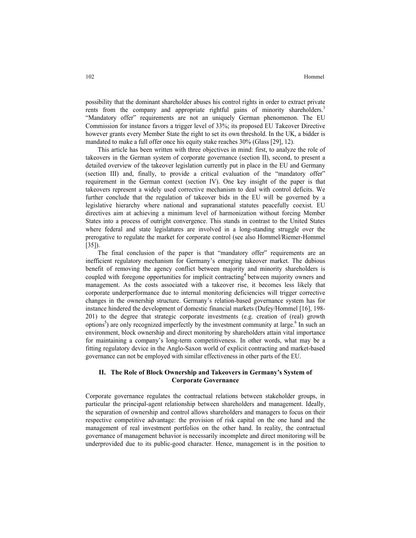possibility that the dominant shareholder abuses his control rights in order to extract private rents from the company and appropriate rightful gains of minority shareholders.<sup>3</sup> "Mandatory offer" requirements are not an uniquely German phenomenon. The EU Commission for instance favors a trigger level of 33%; its proposed EU Takeover Directive however grants every Member State the right to set its own threshold. In the UK, a bidder is mandated to make a full offer once his equity stake reaches 30% (Glass [29], 12).

This article has been written with three objectives in mind: first, to analyze the role of takeovers in the German system of corporate governance (section II), second, to present a detailed overview of the takeover legislation currently put in place in the EU and Germany (section III) and, finally, to provide a critical evaluation of the "mandatory offer" requirement in the German context (section IV). One key insight of the paper is that takeovers represent a widely used corrective mechanism to deal with control deficits. We further conclude that the regulation of takeover bids in the EU will be governed by a legislative hierarchy where national and supranational statutes peacefully coexist. EU directives aim at achieving a minimum level of harmonization without forcing Member States into a process of outright convergence. This stands in contrast to the United States where federal and state legislatures are involved in a long-standing struggle over the prerogative to regulate the market for corporate control (see also Hommel/Riemer-Hommel [35]).

The final conclusion of the paper is that "mandatory offer" requirements are an inefficient regulatory mechanism for Germany's emerging takeover market. The dubious benefit of removing the agency conflict between majority and minority shareholders is coupled with foregone opportunities for implicit contracting<sup>4</sup> between majority owners and management. As the costs associated with a takeover rise, it becomes less likely that corporate underperformance due to internal monitoring deficiencies will trigger corrective changes in the ownership structure. Germany's relation-based governance system has for instance hindered the development of domestic financial markets (Dufey/Hommel [16], 198- 201) to the degree that strategic corporate investments (e.g. creation of (real) growth options<sup>5</sup>) are only recognized imperfectly by the investment community at large.<sup>6</sup> In such an environment, block ownership and direct monitoring by shareholders attain vital importance for maintaining a company's long-term competitiveness. In other words, what may be a fitting regulatory device in the Anglo-Saxon world of explicit contracting and market-based governance can not be employed with similar effectiveness in other parts of the EU.

## **II. The Role of Block Ownership and Takeovers in Germany's System of Corporate Governance**

Corporate governance regulates the contractual relations between stakeholder groups, in particular the principal-agent relationship between shareholders and management. Ideally, the separation of ownership and control allows shareholders and managers to focus on their respective competitive advantage: the provision of risk capital on the one hand and the management of real investment portfolios on the other hand. In reality, the contractual governance of management behavior is necessarily incomplete and direct monitoring will be underprovided due to its public-good character. Hence, management is in the position to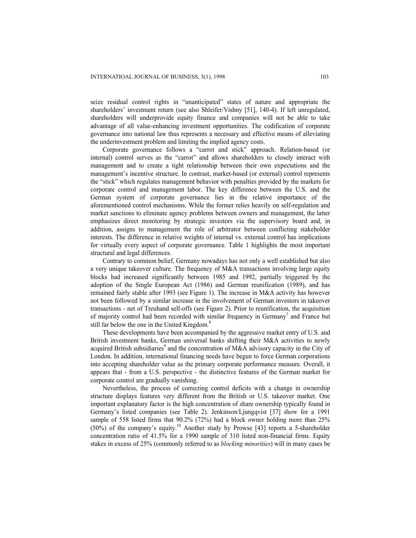seize residual control rights in "unanticipated" states of nature and appropriate the shareholders' investment return (see also Shleifer/Vishny [51], 140-4). If left unregulated, shareholders will underprovide equity finance and companies will not be able to take advantage of all value-enhancing investment opportunities. The codification of corporate governance into national law thus represents a necessary and effective means of alleviating the underinvestment problem and limiting the implied agency costs.

Corporate governance follows a "carrot and stick" approach. Relation-based (or internal) control serves as the "carrot" and allows shareholders to closely interact with management and to create a tight relationship between their own expectations and the management's incentive structure. In contrast, market-based (or external) control represents the "stick" which regulates management behavior with penalties provided by the markets for corporate control and management labor. The key difference between the U.S. and the German system of corporate governance lies in the relative importance of the aforementioned control mechanisms. While the former relies heavily on self-regulation and market sanctions to eliminate agency problems between owners and management, the latter emphasizes direct monitoring by strategic investors via the supervisory board and, in addition, assigns to management the role of arbitrator between conflicting stakeholder interests. The difference in relative weights of internal vs. external control has implications for virtually every aspect of corporate governance. Table 1 highlights the most important structural and legal differences.

Contrary to common belief, Germany nowadays has not only a well established but also a very unique takeover culture. The frequency of M&A transactions involving large equity blocks had increased significantly between 1985 and 1992, partially triggered by the adoption of the Single European Act (1986) and German reunification (1989), and has remained fairly stable after 1993 (see Figure 1). The increase in M&A activity has however not been followed by a similar increase in the involvement of German investors in takeover transactions - net of Treuhand sell-offs (see Figure 2). Prior to reunification, the acquisition of majority control had been recorded with similar frequency in Germany<sup>7</sup> and France but still far below the one in the United Kingdom.<sup>8</sup>

These developments have been accompanied by the aggressive market entry of U.S. and British investment banks, German universal banks shifting their M&A activities to newly acquired British subsidiaries<sup>9</sup> and the concentration of M&A advisory capacity in the City of London. In addition, international financing needs have begun to force German corporations into accepting shareholder value as the primary corporate performance measure. Overall, it appears that - from a U.S. perspective - the distinctive features of the German market for corporate control are gradually vanishing.

Nevertheless, the process of correcting control deficits with a change in ownership structure displays features very different from the British or U.S. takeover market. One important explanatory factor is the high concentration of share ownership typically found in Germany's listed companies (see Table 2). Jenkinson/Ljungqvist [37] show for a 1991 sample of 558 listed firms that 90.2% (72%) had a block owner holding more than 25% (50%) of the company's equity.10 Another study by Prowse [43] reports a 5-shareholder concentration ratio of 41.5% for a 1990 sample of 310 listed non-financial firms. Equity stakes in excess of 25% (commonly referred to as *blocking minorities*) will in many cases be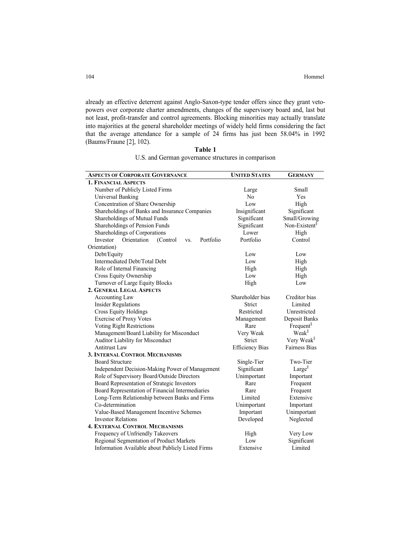already an effective deterrent against Anglo-Saxon-type tender offers since they grant vetopowers over corporate charter amendments, changes of the supervisory board and, last but not least, profit-transfer and control agreements. Blocking minorities may actually translate into majorities at the general shareholder meetings of widely held firms considering the fact that the average attendance for a sample of 24 firms has just been 58.04% in 1992 (Baums/Fraune [2], 102).

**Table 1**  U.S. and German governance structures in comparison

| <b>ASPECTS OF CORPORATE GOVERNANCE</b>                  | <b>UNITED STATES</b>   | <b>GERMANY</b>            |  |
|---------------------------------------------------------|------------------------|---------------------------|--|
| <b>1. FINANCIAL ASPECTS</b>                             |                        |                           |  |
| Number of Publicly Listed Firms                         | Large                  | Small                     |  |
| Universal Banking                                       | N <sub>0</sub>         | Yes                       |  |
| Concentration of Share Ownership                        | Low                    | High                      |  |
| Shareholdings of Banks and Insurance Companies          | Insignificant          | Significant               |  |
| Shareholdings of Mutual Funds                           | Significant            | Small/Growing             |  |
| Shareholdings of Pension Funds                          | Significant            | Non-Existent <sup>§</sup> |  |
| Shareholdings of Corporations                           | Lower                  | High                      |  |
| Portfolio<br>Orientation<br>Investor<br>(Control<br>VS. | Portfolio              | Control                   |  |
| Orientation)                                            |                        |                           |  |
| Debt/Equity                                             | Low                    | Low                       |  |
| Intermediated Debt/Total Debt                           | Low                    | High                      |  |
| Role of Internal Financing                              | High                   | High                      |  |
| Cross Equity Ownership                                  | Low                    | High                      |  |
| Turnover of Large Equity Blocks                         | High                   | Low                       |  |
| 2. GENERAL LEGAL ASPECTS                                |                        |                           |  |
| Accounting Law                                          | Shareholder bias       | Creditor bias             |  |
| <b>Insider Regulations</b>                              | Strict                 | Limited                   |  |
| <b>Cross Equity Holdings</b>                            | Restricted             | Unrestricted              |  |
| <b>Exercise of Proxy Votes</b>                          | Management             | Deposit Banks             |  |
| Voting Right Restrictions                               | Rare                   | Frequent $\delta$         |  |
| Management/Board Liability for Misconduct               | Very Weak              | Weak <sup>§</sup>         |  |
| Auditor Liability for Misconduct                        | Strict                 | Very Weak <sup>§</sup>    |  |
| <b>Antitrust Law</b>                                    | <b>Efficiency Bias</b> | <b>Fairness Bias</b>      |  |
| <b>3. INTERNAL CONTROL MECHANISMS</b>                   |                        |                           |  |
| <b>Board Structure</b>                                  | Single-Tier            | Two-Tier                  |  |
| Independent Decision-Making Power of Management         | Significant            | Large $\delta$            |  |
| Role of Supervisory Board/Outside Directors             | Unimportant            | Important                 |  |
| Board Representation of Strategic Investors             | Rare                   | Frequent                  |  |
| Board Representation of Financial Intermediaries        | Rare                   | Frequent                  |  |
| Long-Term Relationship between Banks and Firms          | Limited                | Extensive                 |  |
| Co-determination                                        | Unimportant            | Important                 |  |
| Value-Based Management Incentive Schemes                | Important              | Unimportant               |  |
| <b>Investor Relations</b>                               | Developed              | Neglected                 |  |
| <b>4. EXTERNAL CONTROL MECHANISMS</b>                   |                        |                           |  |
| Frequency of Unfriendly Takeovers                       | High                   | Very Low                  |  |
| Regional Segmentation of Product Markets                | Low                    | Significant               |  |
| Information Available about Publicly Listed Firms       | Extensive              | Limited                   |  |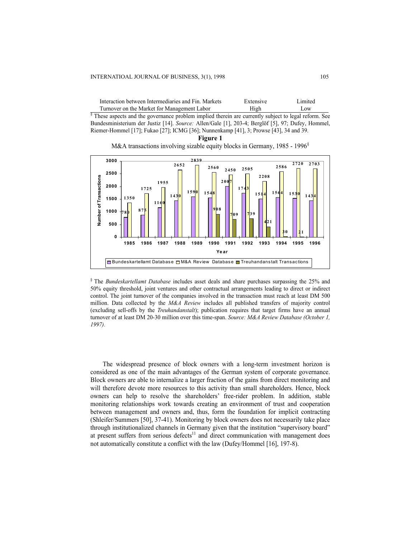| Interaction between Intermediaries and Fin. Markets | Extensive | Limited |
|-----------------------------------------------------|-----------|---------|
| Turnover on the Market for Management Labor         | High      | Low.    |

<sup>§</sup> These aspects and the governance problem implied therein are currently subject to legal reform. See Bundesministerium der Justiz [14]. *Source:* Allen/Gale [1], 203-4; Berglöf [5], 97; Dufey, Hommel, Riemer-Hommel [17]; Fukao [27]; ICMG [36]; Nunnenkamp [41], 3; Prowse [43], 34 and 39.

**Figure 1** 

M&A transactions involving sizable equity blocks in Germany, 1985 - 1996<sup>§</sup>



§ The *Bundeskartellamt Database* includes asset deals and share purchases surpassing the 25% and 50% equity threshold, joint ventures and other contractual arrangements leading to direct or indirect control. The joint turnover of the companies involved in the transaction must reach at least DM 500 million. Data collected by the *M&A Review* includes all published transfers of majority control (excluding sell-offs by the *Treuhandanstalt*); publication requires that target firms have an annual turnover of at least DM 20-30 million over this time-span. *Source: M&A Review Database (October 1, 1997).*

The widespread presence of block owners with a long-term investment horizon is considered as one of the main advantages of the German system of corporate governance. Block owners are able to internalize a larger fraction of the gains from direct monitoring and will therefore devote more resources to this activity than small shareholders. Hence, block owners can help to resolve the shareholders' free-rider problem. In addition, stable monitoring relationships work towards creating an environment of trust and cooperation between management and owners and, thus, form the foundation for implicit contracting (Shleifer/Summers [50], 37-41). Monitoring by block owners does not necessarily take place through institutionalized channels in Germany given that the institution "supervisory board" at present suffers from serious defects $11$  and direct communication with management does not automatically constitute a conflict with the law (Dufey/Hommel [16], 197-8).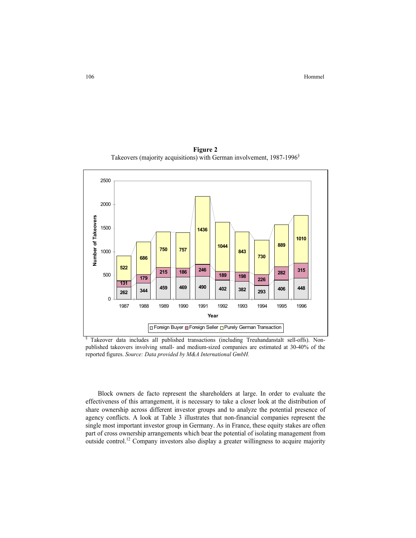**Figure 2** Takeovers (majority acquisitions) with German involvement, 1987-1996<sup>§</sup>



§ Takeover data includes all published transactions (including Treuhandanstalt sell-offs). Nonpublished takeovers involving small- and medium-sized companies are estimated at 30-40% of the reported figures. *Source: Data provided by M&A International GmbH.*

Block owners de facto represent the shareholders at large. In order to evaluate the effectiveness of this arrangement, it is necessary to take a closer look at the distribution of share ownership across different investor groups and to analyze the potential presence of agency conflicts. A look at Table 3 illustrates that non-financial companies represent the single most important investor group in Germany. As in France, these equity stakes are often part of cross ownership arrangements which bear the potential of isolating management from outside control.12 Company investors also display a greater willingness to acquire majority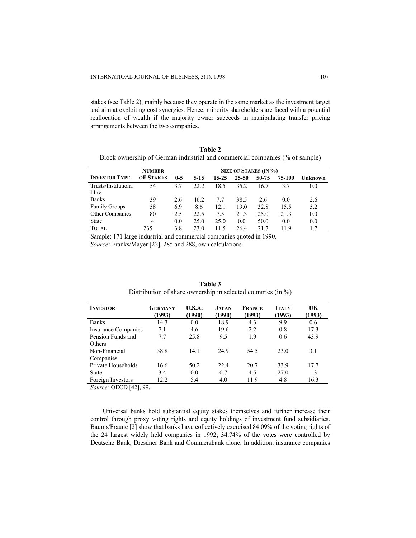stakes (see Table 2), mainly because they operate in the same market as the investment target and aim at exploiting cost synergies. Hence, minority shareholders are faced with a potential reallocation of wealth if the majority owner succeeds in manipulating transfer pricing arrangements between the two companies.

| <b>INVESTOR TYPE</b>          | <b>NUMBER</b><br><b>OF STAKES</b> | $0-5$ | 5 1 5 | 15-25 | <b>SIZE OF STAKES (IN %)</b><br>25-50 | 50-75 | 75-100 | Unknown |
|-------------------------------|-----------------------------------|-------|-------|-------|---------------------------------------|-------|--------|---------|
|                               |                                   |       |       |       |                                       |       |        |         |
| Trusts/Institutiona<br>1 Inv. | 54                                | 3.7   | 22.2  | 18.5  | 35.2                                  | 16.7  | 37     | 0.0     |
| <b>Banks</b>                  | 39                                | 2.6   | 46.2  | 77    | 38.5                                  | 2.6   | 0.0    | 2.6     |
| <b>Family Groups</b>          | 58                                | 6.9   | 8.6   | 12.1  | 19.0                                  | 32.8  | 15.5   | 5.2     |
| Other Companies               | 80                                | 2.5   | 22.5  | 75    | 21.3                                  | 25.0  | 21.3   | 0.0     |
| <b>State</b>                  | 4                                 | 0.0   | 25.0  | 25.0  | 0.0                                   | 50.0  | 0.0    | 0.0     |
| <b>TOTAL</b>                  | 235                               | 3.8   | 23.0  | 11.5  | 26.4                                  | 21.7  | 119    | 17      |

**Table 2**  Block ownership of German industrial and commercial companies (% of sample)

Sample: 171 large industrial and commercial companies quoted in 1990. *Source:* Franks/Mayer [22], 285 and 288, own calculations*.* 

| <b>INVESTOR</b>            | <b>GERMANY</b><br>(1993) | U.S.A.<br>(1990) | <b>JAPAN</b><br>(1990) | <b>FRANCE</b><br>(1993) | <b>ITALY</b><br>(1993) | UK<br>(1993) |
|----------------------------|--------------------------|------------------|------------------------|-------------------------|------------------------|--------------|
| <b>Banks</b>               | 14.3                     | 0.0              | 18.9                   | 4.3                     | 9.9                    | 0.6          |
| <b>Insurance Companies</b> | 7.1                      | 4.6              | 19.6                   | 2.2                     | 0.8                    | 17.3         |
| Pension Funds and          | 77                       | 25.8             | 9.5                    | 1.9                     | 0.6                    | 43.9         |
| Others                     |                          |                  |                        |                         |                        |              |
| Non-Financial              | 38.8                     | 14.1             | 24.9                   | 54.5                    | 23.0                   | 3.1          |
| Companies                  |                          |                  |                        |                         |                        |              |
| Private Households         | 16.6                     | 50.2             | 22.4                   | 20.7                    | 33.9                   | 17.7         |
| <b>State</b>               | 3.4                      | 0.0              | 0.7                    | 4.5                     | 27.0                   | 1.3          |
| Foreign Investors          | 12.2                     | 5.4              | 4.0                    | 11.9                    | 4.8                    | 16.3         |

**Table 3** Distribution of share ownership in selected countries (in %)

*Source:* OECD [42], 99.

Universal banks hold substantial equity stakes themselves and further increase their control through proxy voting rights and equity holdings of investment fund subsidiaries. Baums/Fraune [2] show that banks have collectively exercised 84.09% of the voting rights of the 24 largest widely held companies in 1992; 34.74% of the votes were controlled by Deutsche Bank, Dresdner Bank and Commerzbank alone. In addition, insurance companies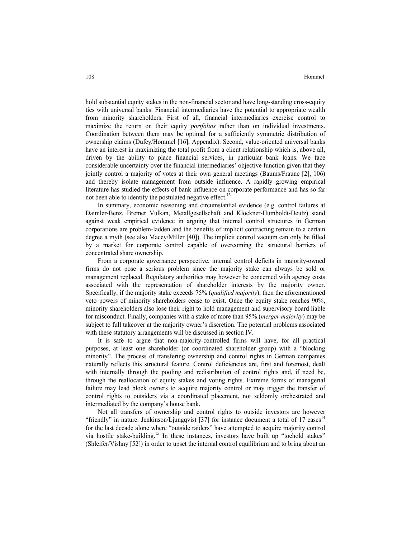hold substantial equity stakes in the non-financial sector and have long-standing cross-equity ties with universal banks. Financial intermediaries have the potential to appropriate wealth from minority shareholders. First of all, financial intermediaries exercise control to maximize the return on their equity *portfolios* rather than on individual investments. Coordination between them may be optimal for a sufficiently symmetric distribution of ownership claims (Dufey/Hommel [16], Appendix). Second, value-oriented universal banks have an interest in maximizing the total profit from a client relationship which is, above all, driven by the ability to place financial services, in particular bank loans. We face considerable uncertainty over the financial intermediaries' objective function given that they jointly control a majority of votes at their own general meetings (Baums/Fraune [2], 106) and thereby isolate management from outside influence. A rapidly growing empirical literature has studied the effects of bank influence on corporate performance and has so far not been able to identify the postulated negative effect.<sup>13</sup>

In summary, economic reasoning and circumstantial evidence (e.g. control failures at Daimler-Benz, Bremer Vulkan, Metallgesellschaft and Klöckner-Humboldt-Deutz) stand against weak empirical evidence in arguing that internal control structures in German corporations are problem-ladden and the benefits of implicit contracting remain to a certain degree a myth (see also Macey/Miller [40]). The implicit control vacuum can only be filled by a market for corporate control capable of overcoming the structural barriers of concentrated share ownership.

From a corporate governance perspective, internal control deficits in majority-owned firms do not pose a serious problem since the majority stake can always be sold or management replaced. Regulatory authorities may however be concerned with agency costs associated with the representation of shareholder interests by the majority owner. Specifically, if the majority stake exceeds 75% (*qualified majority*), then the aforementioned veto powers of minority shareholders cease to exist. Once the equity stake reaches 90%, minority shareholders also lose their right to hold management and supervisory board liable for misconduct. Finally, companies with a stake of more than 95% (*merger majority*) may be subject to full takeover at the majority owner's discretion. The potential problems associated with these statutory arrangements will be discussed in section IV.

It is safe to argue that non-majority-controlled firms will have, for all practical purposes, at least one shareholder (or coordinated shareholder group) with a "blocking minority". The process of transfering ownership and control rights in German companies naturally reflects this structural feature. Control deficiencies are, first and foremost, dealt with internally through the pooling and redistribution of control rights and, if need be, through the reallocation of equity stakes and voting rights. Extreme forms of managerial failure may lead block owners to acquire majority control or may trigger the transfer of control rights to outsiders via a coordinated placement, not seldomly orchestrated and intermediated by the company's house bank.

Not all transfers of ownership and control rights to outside investors are however "friendly" in nature. Jenkinson/Ljungqvist [37] for instance document a total of 17 cases<sup>14</sup> for the last decade alone where "outside raiders" have attempted to acquire majority control via hostile stake-building.<sup>15</sup> In these instances, investors have built up "toehold stakes" (Shleifer/Vishny [52]) in order to upset the internal control equilibrium and to bring about an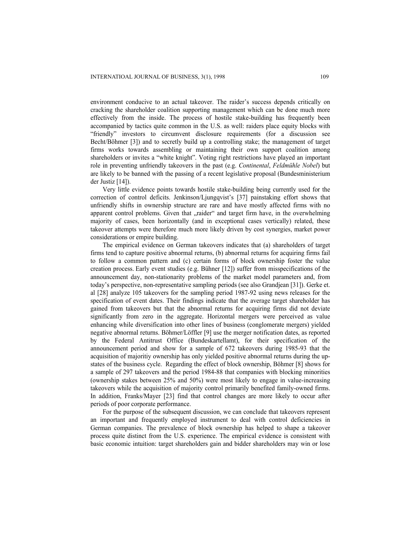environment conducive to an actual takeover. The raider's success depends critically on cracking the shareholder coalition supporting management which can be done much more effectively from the inside. The process of hostile stake-building has frequently been accompanied by tactics quite common in the U.S. as well: raiders place equity blocks with "friendly" investors to circumvent disclosure requirements (for a discussion see Becht/Böhmer [3]) and to secretly build up a controlling stake; the management of target firms works towards assembling or maintaining their own support coalition among shareholders or invites a "white knight". Voting right restrictions have played an important role in preventing unfriendly takeovers in the past (e.g. *Continental*, *Feldmühle Nobel*) but are likely to be banned with the passing of a recent legislative proposal (Bundesministerium der Justiz [14]).

Very little evidence points towards hostile stake-building being currently used for the correction of control deficits. Jenkinson/Ljungqvist's [37] painstaking effort shows that unfriendly shifts in ownership structure are rare and have mostly affected firms with no apparent control problems. Given that "raider" and target firm have, in the overwhelming majority of cases, been horizontally (and in exceptional cases vertically) related, these takeover attempts were therefore much more likely driven by cost synergies, market power considerations or empire building.

The empirical evidence on German takeovers indicates that (a) shareholders of target firms tend to capture positive abnormal returns, (b) abnormal returns for acquiring firms fail to follow a common pattern and (c) certain forms of block ownership foster the value creation process. Early event studies (e.g. Bühner [12]) suffer from misspecifications of the announcement day, non-stationarity problems of the market model parameters and, from today's perspective, non-representative sampling periods (see also Grandjean [31]). Gerke et. al [28] analyze 105 takeovers for the sampling period 1987-92 using news releases for the specification of event dates. Their findings indicate that the average target shareholder has gained from takeovers but that the abnormal returns for acquiring firms did not deviate significantly from zero in the aggregate. Horizontal mergers were perceived as value enhancing while diversification into other lines of business (conglomerate mergers) yielded negative abnormal returns. Böhmer/Löffler [9] use the merger notification dates, as reported by the Federal Antitrust Office (Bundeskartellamt), for their specification of the announcement period and show for a sample of 672 takeovers during 1985-93 that the acquisition of majoritiy ownership has only yielded positive abnormal returns during the upstates of the business cycle. Regarding the effect of block ownership, Böhmer [8] shows for a sample of 297 takeovers and the period 1984-88 that companies with blocking minorities (ownership stakes between 25% and 50%) were most likely to engage in value-increasing takeovers while the acquisition of majority control primarily benefited family-owned firms. In addition, Franks/Mayer [23] find that control changes are more likely to occur after periods of poor corporate performance.

For the purpose of the subsequent discussion, we can conclude that takeovers represent an important and frequently employed instrument to deal with control deficiencies in German companies. The prevalence of block ownership has helped to shape a takeover process quite distinct from the U.S. experience. The empirical evidence is consistent with basic economic intuition: target shareholders gain and bidder shareholders may win or lose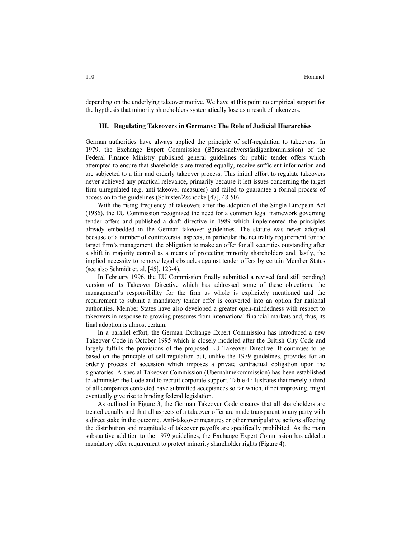depending on the underlying takeover motive. We have at this point no empirical support for the hypthesis that minority shareholders systematically lose as a result of takeovers.

#### **III. Regulating Takeovers in Germany: The Role of Judicial Hierarchies**

German authorities have always applied the principle of self-regulation to takeovers. In 1979, the Exchange Expert Commission (Börsensachverständigenkommission) of the Federal Finance Ministry published general guidelines for public tender offers which attempted to ensure that shareholders are treated equally, receive sufficient information and are subjected to a fair and orderly takeover process. This initial effort to regulate takeovers never achieved any practical relevance, primarily because it left issues concerning the target firm unregulated (e.g. anti-takeover measures) and failed to guarantee a formal process of accession to the guidelines (Schuster/Zschocke [47], 48-50).

With the rising frequency of takeovers after the adoption of the Single European Act (1986), the EU Commission recognized the need for a common legal framework governing tender offers and published a draft directive in 1989 which implemented the principles already embedded in the German takeover guidelines. The statute was never adopted because of a number of controversial aspects, in particular the neutrality requirement for the target firm's management, the obligation to make an offer for all securities outstanding after a shift in majority control as a means of protecting minority shareholders and, lastly, the implied necessity to remove legal obstacles against tender offers by certain Member States (see also Schmidt et. al. [45], 123-4).

In February 1996, the EU Commission finally submitted a revised (and still pending) version of its Takeover Directive which has addressed some of these objections: the management's responsibility for the firm as whole is explicitely mentioned and the requirement to submit a mandatory tender offer is converted into an option for national authorities. Member States have also developed a greater open-mindedness with respect to takeovers in response to growing pressures from international financial markets and, thus, its final adoption is almost certain.

In a parallel effort, the German Exchange Expert Commission has introduced a new Takeover Code in October 1995 which is closely modeled after the British City Code and largely fulfills the provisions of the proposed EU Takeover Directive. It continues to be based on the principle of self-regulation but, unlike the 1979 guidelines, provides for an orderly process of accession which imposes a private contractual obligation upon the signatories. A special Takeover Commission (Übernahmekommission) has been established to administer the Code and to recruit corporate support. Table 4 illustrates that merely a third of all companies contacted have submitted acceptances so far which, if not improving, might eventually give rise to binding federal legislation.

As outlined in Figure 3, the German Takeover Code ensures that all shareholders are treated equally and that all aspects of a takeover offer are made transparent to any party with a direct stake in the outcome. Anti-takeover measures or other manipulative actions affecting the distribution and magnitude of takeover payoffs are specifically prohibited. As the main substantive addition to the 1979 guidelines, the Exchange Expert Commission has added a mandatory offer requirement to protect minority shareholder rights (Figure 4).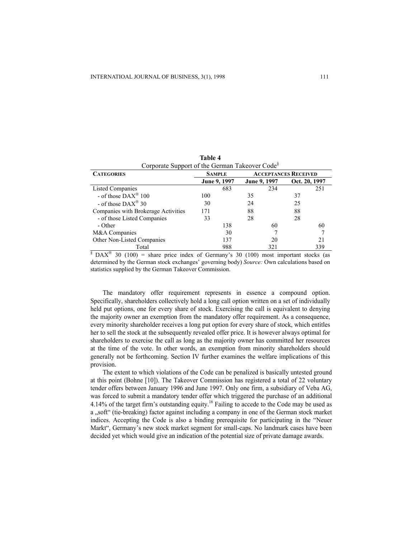| Corporate Support of the German Takeover Code <sup>®</sup> |               |              |                             |  |  |
|------------------------------------------------------------|---------------|--------------|-----------------------------|--|--|
| <b>CATEGORIES</b>                                          | <b>SAMPLE</b> |              | <b>ACCEPTANCES RECEIVED</b> |  |  |
|                                                            | June 9, 1997  | June 9, 1997 | Oct. 20, 1997               |  |  |
| <b>Listed Companies</b>                                    | 683           | 234          | 251                         |  |  |
| - of those $\text{DAX}^{\circledast}$ 100                  | 100           | 35           | 37                          |  |  |
| - of those $\text{DAX}^{\otimes}30$                        | 30            | 24           | 25                          |  |  |
| Companies with Brokerage Activities                        | 171           | 88           | 88                          |  |  |
| - of those Listed Companies                                | 33            | 28           | 28                          |  |  |
| - Other                                                    | 138           | 60           | 60                          |  |  |
| M&A Companies                                              | 30            |              |                             |  |  |
| Other Non-Listed Companies                                 | 137           | 20           | 21                          |  |  |
| Total                                                      | 988           | 321          | 339                         |  |  |

**Table 4**  Corporate Support of the German Takeover Code§

 $\frac{1}{3}$  DAX<sup>®</sup> 30 (100) = share price index of Germany's 30 (100) most important stocks (as determined by the German stock exchanges' governing body) *Source:* Own calculations based on statistics supplied by the German Takeover Commission.

The mandatory offer requirement represents in essence a compound option. Specifically, shareholders collectively hold a long call option written on a set of individually held put options, one for every share of stock. Exercising the call is equivalent to denying the majority owner an exemption from the mandatory offer requirement. As a consequence, every minority shareholder receives a long put option for every share of stock, which entitles her to sell the stock at the subsequently revealed offer price. It is however always optimal for shareholders to exercise the call as long as the majority owner has committed her resources at the time of the vote. In other words, an exemption from minority shareholders should generally not be forthcoming. Section IV further examines the welfare implications of this provision.

The extent to which violations of the Code can be penalized is basically untested ground at this point (Bohne [10]). The Takeover Commission has registered a total of 22 voluntary tender offers between January 1996 and June 1997. Only one firm, a subsidiary of Veba AG, was forced to submit a mandatory tender offer which triggered the purchase of an additional 4.14% of the target firm's outstanding equity.<sup>16</sup> Failing to accede to the Code may be used as a ..soft" (tie-breaking) factor against including a company in one of the German stock market indices. Accepting the Code is also a binding prerequisite for participating in the "Neuer Markt", Germany's new stock market segment for small-caps. No landmark cases have been decided yet which would give an indication of the potential size of private damage awards.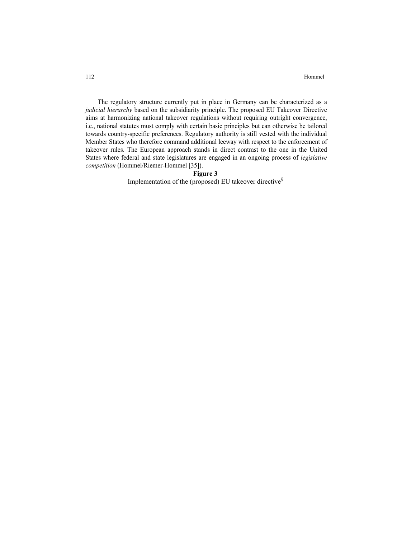The regulatory structure currently put in place in Germany can be characterized as a *judicial hierarchy* based on the subsidiarity principle. The proposed EU Takeover Directive aims at harmonizing national takeover regulations without requiring outright convergence, i.e., national statutes must comply with certain basic principles but can otherwise be tailored towards country-specific preferences. Regulatory authority is still vested with the individual Member States who therefore command additional leeway with respect to the enforcement of takeover rules. The European approach stands in direct contrast to the one in the United States where federal and state legislatures are engaged in an ongoing process of *legislative competition* (Hommel/Riemer-Hommel [35]).

# **Figure 3**

Implementation of the (proposed) EU takeover directive§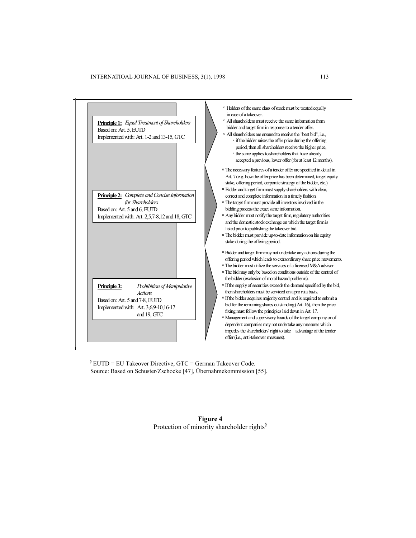

 $\frac{1}{2}$  EUTD = EU Takeover Directive, GTC = German Takeover Code. Source: Based on Schuster/Zschocke [47], Übernahmekommission [55].

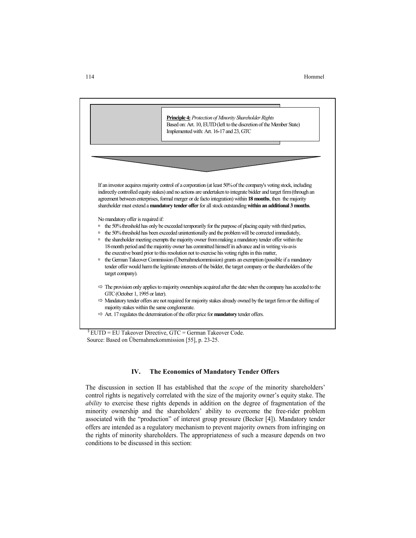114 Hommel



 $\S$  EUTD = EU Takeover Directive, GTC = German Takeover Code. Source: Based on Übernahmekommission [55], p. 23-25.

#### **IV. The Economics of Mandatory Tender Offers**

The discussion in section II has established that the *scope* of the minority shareholders' control rights is negatively correlated with the size of the majority owner's equity stake. The *ability* to exercise these rights depends in addition on the degree of fragmentation of the minority ownership and the shareholders' ability to overcome the free-rider problem associated with the "production" of interest group pressure (Becker [4]). Mandatory tender offers are intended as a regulatory mechanism to prevent majority owners from infringing on the rights of minority shareholders. The appropriateness of such a measure depends on two conditions to be discussed in this section: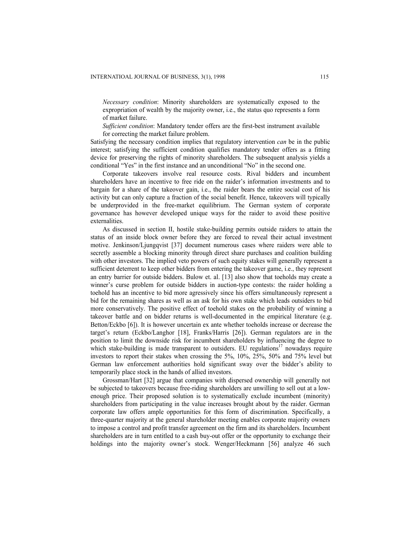*Necessary condition*: Minority shareholders are systematically exposed to the expropriation of wealth by the majority owner, i.e., the status quo represents a form of market failure.

*Sufficient condition*: Mandatory tender offers are the first-best instrument available for correcting the market failure problem.

Satisfying the necessary condition implies that regulatory intervention *can* be in the public interest; satisfying the sufficient condition qualifies mandatory tender offers as a fitting device for preserving the rights of minority shareholders. The subsequent analysis yields a conditional "Yes" in the first instance and an unconditional "No" in the second one.

Corporate takeovers involve real resource costs. Rival bidders and incumbent shareholders have an incentive to free ride on the raider's information investments and to bargain for a share of the takeover gain, i.e., the raider bears the entire social cost of his activity but can only capture a fraction of the social benefit. Hence, takeovers will typically be underprovided in the free-market equilibrium. The German system of corporate governance has however developed unique ways for the raider to avoid these positive externalities.

As discussed in section II, hostile stake-building permits outside raiders to attain the status of an inside block owner before they are forced to reveal their actual investment motive. Jenkinson/Ljungqvist [37] document numerous cases where raiders were able to secretly assemble a blocking minority through direct share purchases and coalition building with other investors. The implied veto powers of such equity stakes will generally represent a sufficient deterrent to keep other bidders from entering the takeover game, i.e., they represent an entry barrier for outside bidders. Bulow et. al. [13] also show that toeholds may create a winner's curse problem for outside bidders in auction-type contests: the raider holding a toehold has an incentive to bid more agressively since his offers simultaneously represent a bid for the remaining shares as well as an ask for his own stake which leads outsiders to bid more conservatively. The positive effect of toehold stakes on the probability of winning a takeover battle and on bidder returns is well-documented in the empirical literature (e.g. Betton/Eckbo [6]). It is however uncertain ex ante whether toeholds increase or decrease the target's return (Eckbo/Langhor [18], Franks/Harris [26]). German regulators are in the position to limit the downside risk for incumbent shareholders by influencing the degree to which stake-building is made transparent to outsiders. EU regulations<sup>17</sup> nowadays require investors to report their stakes when crossing the 5%, 10%, 25%, 50% and 75% level but German law enforcement authorities hold significant sway over the bidder's ability to temporarily place stock in the hands of allied investors.

Grossman/Hart [32] argue that companies with dispersed ownership will generally not be subjected to takeovers because free-riding shareholders are unwilling to sell out at a lowenough price. Their proposed solution is to systematically exclude incumbent (minority) shareholders from participating in the value increases brought about by the raider. German corporate law offers ample opportunities for this form of discrimination. Specifically, a three-quarter majority at the general shareholder meeting enables corporate majority owners to impose a control and profit transfer agreement on the firm and its shareholders. Incumbent shareholders are in turn entitled to a cash buy-out offer or the opportunity to exchange their holdings into the majority owner's stock. Wenger/Heckmann [56] analyze 46 such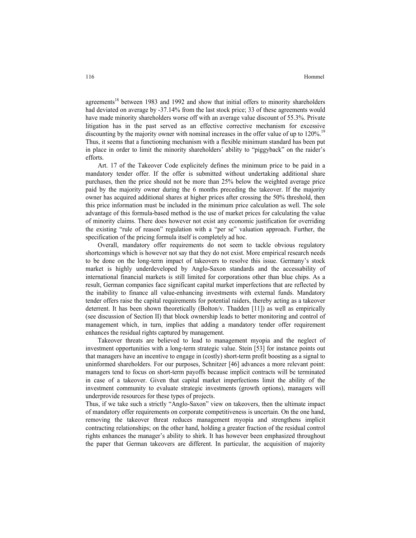#### 116 Hommel and the state of the state of the state of the Hommel Hommel and the Hommel State of the Hommel State of the State of the State of the State of the State of the State of the State of the State of the State of th

agreements<sup>18</sup> between 1983 and 1992 and show that initial offers to minority shareholders had deviated on average by -37.14% from the last stock price; 33 of these agreements would have made minority shareholders worse off with an average value discount of 55.3%. Private litigation has in the past served as an effective corrective mechanism for excessive discounting by the majority owner with nominal increases in the offer value of up to  $120\%$ .<sup>19</sup> Thus, it seems that a functioning mechanism with a flexible minimum standard has been put in place in order to limit the minority shareholders' ability to "piggyback" on the raider's efforts.

Art. 17 of the Takeover Code explicitely defines the minimum price to be paid in a mandatory tender offer. If the offer is submitted without undertaking additional share purchases, then the price should not be more than 25% below the weighted average price paid by the majority owner during the 6 months preceding the takeover. If the majority owner has acquired additional shares at higher prices after crossing the 50% threshold, then this price information must be included in the minimum price calculation as well. The sole advantage of this formula-based method is the use of market prices for calculating the value of minority claims. There does however not exist any economic justification for overriding the existing "rule of reason" regulation with a "per se" valuation approach. Further, the specification of the pricing formula itself is completely ad hoc.

Overall, mandatory offer requirements do not seem to tackle obvious regulatory shortcomings which is however not say that they do not exist. More empirical research needs to be done on the long-term impact of takeovers to resolve this issue. Germany's stock market is highly underdeveloped by Anglo-Saxon standards and the accessability of international financial markets is still limited for corporations other than blue chips. As a result, German companies face significant capital market imperfections that are reflected by the inability to finance all value-enhancing investments with external funds. Mandatory tender offers raise the capital requirements for potential raiders, thereby acting as a takeover deterrent. It has been shown theoretically (Bolton/v. Thadden [11]) as well as empirically (see discussion of Section II) that block ownership leads to better monitoring and control of management which, in turn, implies that adding a mandatory tender offer requirement enhances the residual rights captured by management.

Takeover threats are believed to lead to management myopia and the neglect of investment opportunities with a long-term strategic value. Stein [53] for instance points out that managers have an incentive to engage in (costly) short-term profit boosting as a signal to uninformed shareholders. For our purposes, Schnitzer [46] advances a more relevant point: managers tend to focus on short-term payoffs because implicit contracts will be terminated in case of a takeover. Given that capital market imperfections limit the ability of the investment community to evaluate strategic investments (growth options), managers will underprovide resources for these types of projects.

Thus, if we take such a strictly "Anglo-Saxon" view on takeovers, then the ultimate impact of mandatory offer requirements on corporate competitiveness is uncertain. On the one hand, removing the takeover threat reduces management myopia and strengthens implicit contracting relationships; on the other hand, holding a greater fraction of the residual control rights enhances the manager's ability to shirk. It has however been emphasized throughout the paper that German takeovers are different. In particular, the acquisition of majority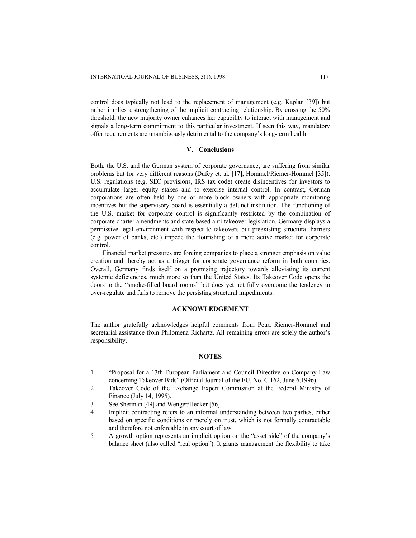control does typically not lead to the replacement of management (e.g. Kaplan [39]) but rather implies a strengthening of the implicit contracting relationship. By crossing the 50% threshold, the new majority owner enhances her capability to interact with management and signals a long-term commitment to this particular investment. If seen this way, mandatory offer requirements are unambigously detrimental to the company's long-term health.

## **V. Conclusions**

Both, the U.S. and the German system of corporate governance, are suffering from similar problems but for very different reasons (Dufey et. al. [17], Hommel/Riemer-Hommel [35]). U.S. regulations (e.g. SEC provisions, IRS tax code) create disincentives for investors to accumulate larger equity stakes and to exercise internal control. In contrast, German corporations are often held by one or more block owners with appropriate monitoring incentives but the supervisory board is essentially a defunct institution. The functioning of the U.S. market for corporate control is significantly restricted by the combination of corporate charter amendments and state-based anti-takeover legislation. Germany displays a permissive legal environment with respect to takeovers but preexisting structural barriers (e.g. power of banks, etc.) impede the flourishing of a more active market for corporate control.

Financial market pressures are forcing companies to place a stronger emphasis on value creation and thereby act as a trigger for corporate governance reform in both countries. Overall, Germany finds itself on a promising trajectory towards alleviating its current systemic deficiencies, much more so than the United States. Its Takeover Code opens the doors to the "smoke-filled board rooms" but does yet not fully overcome the tendency to over-regulate and fails to remove the persisting structural impediments.

#### **ACKNOWLEDGEMENT**

The author gratefully acknowledges helpful comments from Petra Riemer-Hommel and secretarial assistance from Philomena Richartz. All remaining errors are solely the author's responsibility.

#### **NOTES**

- 1 "Proposal for a 13th European Parliament and Council Directive on Company Law concerning Takeover Bids" (Official Journal of the EU, No. C 162, June 6,1996).
- 2 Takeover Code of the Exchange Expert Commission at the Federal Ministry of Finance (July 14, 1995).
- 3 See Sherman [49] and Wenger/Hecker [56].
- 4 Implicit contracting refers to an informal understanding between two parties, either based on specific conditions or merely on trust, which is not formally contractable and therefore not enforcable in any court of law.
- 5 A growth option represents an implicit option on the "asset side" of the company's balance sheet (also called "real option"). It grants management the flexibility to take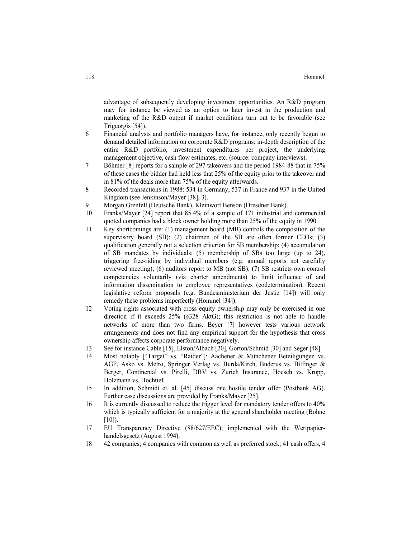advantage of subsequently developing investment opportunities. An R&D program may for instance be viewed as an option to later invest in the production and marketing of the R&D output if market conditions turn out to be favorable (see Trigeorgis [54]).

- 6 Financial analysts and portfolio managers have, for instance, only recently begun to demand detailed information on corporate R&D programs: in-depth description of the entire R&D portfolio, investment expenditures per project, the underlying management objective, cash flow estimates, etc. (source: company interviews).
- 7 Böhmer [8] reports for a sample of 297 takeovers and the period 1984-88 that in 75% of these cases the bidder had held less that 25% of the equity prior to the takeover and in 81% of the deals more than 75% of the equity afterwards.
- 8 Recorded transactions in 1988: 534 in Germany, 537 in France and 937 in the United Kingdom (see Jenkinson/Mayer [38], 3).
- 9 Morgan Grenfell (Deutsche Bank), Kleinwort Benson (Dresdner Bank).
- 10 Franks/Mayer [24] report that 85.4% of a sample of 171 industrial and commercial quoted companies had a block owner holding more than 25% of the equity in 1990.
- 11 Key shortcomings are: (1) management board (MB) controls the composition of the supervisory board  $(SB)$ ; (2) chairmen of the SB are often former CEOs; (3) qualification generally not a selection criterion for SB membership; (4) accumulation of SB mandates by individuals; (5) membership of SBs too large (up to 24), triggering free-riding by individual members (e.g. annual reports not carefully reviewed meeting); (6) auditors report to MB (not SB); (7) SB restricts own control competencies voluntarily (via charter amendments) to limit influence of and information dissemination to employee representatives (codetermination). Recent legislative reform proposals (e.g. Bundesministerium der Justiz [14]) will only remedy these problems imperfectly (Hommel [34]).
- 12 Voting rights associated with cross equity ownership may only be exercised in one direction if it exceeds 25% (§328 AktG); this restriction is not able to handle networks of more than two firms. Beyer [7] however tests various network arrangements and does not find any empirical support for the hypothesis that cross ownership affects corporate performance negatively.
- 13 See for instance Cable [15], Elston/Albach [20], Gorton/Schmid [30] and Seger [48].
- 14 Most notably ["Target" vs. "Raider"]: Aachener & Münchener Beteiligungen vs. AGF, Asko vs. Metro, Springer Verlag vs. Burda/Kirch, Buderus vs. Bilfinger & Berger, Continental vs. Pirelli, DBV vs. Zurich Insurance, Hoesch vs. Krupp, Holzmann vs. Hochtief.
- 15 In addition, Schmidt et. al. [45] discuss one hostile tender offer (Postbank AG). Further case discussions are provided by Franks/Mayer [25].
- 16 It is currently discussed to reduce the trigger level for mandatory tender offers to 40% which is typically sufficient for a majority at the general shareholder meeting (Bohne  $[10]$ ).
- 17 EU Transparency Directive (88/627/EEC); implemented with the Wertpapierhandelsgesetz (August 1994).
- 18 42 companies; 4 companies with common as well as preferred stock; 41 cash offers, 4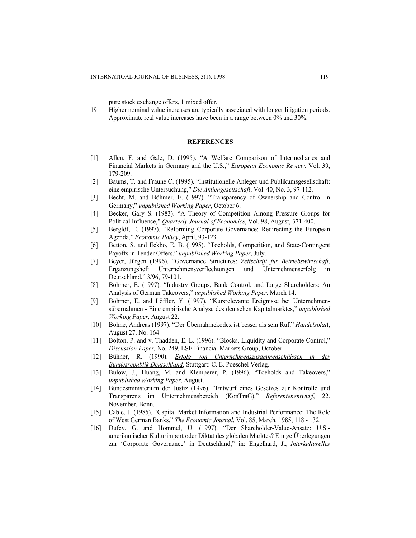pure stock exchange offers, 1 mixed offer.

19 Higher nominal value increases are typically associated with longer litigation periods. Approximate real value increases have been in a range between 0% and 30%.

# **REFERENCES**

- [1] Allen, F. and Gale, D. (1995). "A Welfare Comparison of Intermediaries and Financial Markets in Germany and the U.S.," *European Economic Review*, Vol. 39, 179-209.
- [2] Baums, T. and Fraune C. (1995). "Institutionelle Anleger und Publikumsgesellschaft: eine empirische Untersuchung," *Die Aktiengesellschaft*, Vol. 40, No. 3, 97-112.
- [3] Becht, M. and Böhmer, E. (1997). "Transparency of Ownership and Control in Germany," *unpublished Working Paper*, October 6.
- [4] Becker, Gary S. (1983). "A Theory of Competition Among Pressure Groups for Political Influence," *Quarterly Journal of Economics*, Vol. 98, August, 371-400.
- [5] Berglöf, E. (1997). "Reforming Corporate Governance: Redirecting the European Agenda," *Economic Policy*, April, 93-123.
- [6] Betton, S. and Eckbo, E. B. (1995). "Toeholds, Competition, and State-Contingent Payoffs in Tender Offers," *unpublished Working Paper*, July.
- [7] Beyer, Jürgen (1996). "Governance Structures: *Zeitschrift für Betriebswirtschaft*, Ergänzungsheft Unternehmensverflechtungen und Unternehmenserfolg in Deutschland," 3/96, 79-101.
- [8] Böhmer, E. (1997). "Industry Groups, Bank Control, and Large Shareholders: An Analysis of German Takeovers," *unpublished Working Paper*, March 14.
- [9] Böhmer, E. and Löffler, Y. (1997). "Kursrelevante Ereignisse bei Unternehmensübernahmen - Eine empirische Analyse des deutschen Kapitalmarktes," *unpublished Working Paper*, August 22.
- [10] Bohne, Andreas (1997). "Der Übernahmekodex ist besser als sein Ruf," *Handelsblat*t, August 27, No. 164.
- [11] Bolton, P. and v. Thadden, E.-L. (1996). "Blocks, Liquidity and Corporate Control," *Discussion Paper,* No. 249, LSE Financial Markets Group, October.
- [12] Bühner, R. (1990). *Erfolg von Unternehmenszusammenschlüssen in der Bundesrepublik Deutschland*, Stuttgart: C. E. Poeschel Verlag.
- [13] Bulow, J., Huang, M. and Klemperer, P. (1996). "Toeholds and Takeovers," *unpublished Working Paper*, August.
- [14] Bundesministerium der Justiz (1996). "Entwurf eines Gesetzes zur Kontrolle und Transparenz im Unternehmensbereich (KonTraG)," *Referentenentwurf*, 22. November, Bonn.
- [15] Cable, J. (1985). "Capital Market Information and Industrial Performance: The Role of West German Banks," *The Economic Journal*, Vol. 85, March, 1985, 118 - 132.
- [16] Dufey, G. and Hommel, U. (1997). "Der Shareholder-Value-Ansatz: U.S. amerikanischer Kulturimport oder Diktat des globalen Marktes? Einige Überlegungen zur 'Corporate Governance' in Deutschland," in: Engelhard, J., *Interkulturelles*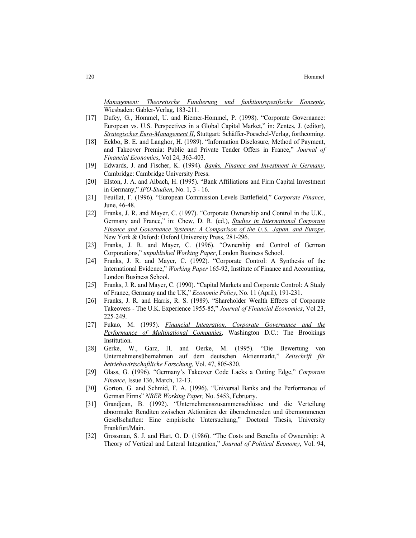*Management: Theoretische Fundierung und funktionsspezifische Konzepte*, Wiesbaden: Gabler-Verlag, 183-211.

- [17] Dufey, G., Hommel, U. and Riemer-Hommel, P. (1998). "Corporate Governance: European vs. U.S. Perspectives in a Global Capital Market," in: Zentes, J. (editor), *Strategisches Euro-Management II*, Stuttgart: Schäffer-Poeschel-Verlag, forthcoming.
- [18] Eckbo, B. E. and Langhor, H. (1989). "Information Disclosure, Method of Payment, and Takeover Premia: Public and Private Tender Offers in France," *Journal of Financial Economics*, Vol 24, 363-403.
- [19] Edwards, J. and Fischer, K. (1994). *Banks, Finance and Investment in Germany*, Cambridge: Cambridge University Press.
- [20] Elston, J. A. and Albach, H. (1995). "Bank Affiliations and Firm Capital Investment in Germany," *IFO-Studien*, No. 1, 3 - 16.
- [21] Feuillat, F. (1996). "European Commission Levels Battlefield," *Corporate Finance*, June, 46-48.
- [22] Franks, J. R. and Mayer, C. (1997). "Corporate Ownership and Control in the U.K., Germany and France," in: Chew, D. R. (ed.), *Studies in International Corporate Finance and Governance Systems: A Comparison of the U.S., Japan, and Europe*, New York & Oxford: Oxford University Press, 281-296.
- [23] Franks, J. R. and Mayer, C. (1996). "Ownership and Control of German Corporations," *unpublished Working Paper*, London Business School.
- [24] Franks, J. R. and Mayer, C. (1992). "Corporate Control: A Synthesis of the International Evidence," *Working Paper* 165-92, Institute of Finance and Accounting, London Business School.
- [25] Franks, J. R. and Mayer, C. (1990). "Capital Markets and Corporate Control: A Study of France, Germany and the UK," *Economic Policy*, No. 11 (April), 191-231.
- [26] Franks, J. R. and Harris, R. S. (1989). "Shareholder Wealth Effects of Corporate Takeovers - The U.K. Experience 1955-85," *Journal of Financial Economics*, Vol 23, 225-249.
- [27] Fukao, M. (1995). *Financial Integration, Corporate Governance and the Performance of Multinational Companies*, Washington D.C.: The Brookings Institution.
- [28] Gerke, W., Garz, H. and Oerke, M. (1995). "Die Bewertung von Unternehmensübernahmen auf dem deutschen Aktienmarkt," *Zeitschrift für betriebswirtschaftliche Forschung*, Vol. 47, 805-820.
- [29] Glass, G. (1996). "Germany's Takeover Code Lacks a Cutting Edge," *Corporate Finance*, Issue 136, March, 12-13.
- [30] Gorton, G. and Schmid, F. A. (1996). "Universal Banks and the Performance of German Firms" *NBER Working Paper,* No. 5453, February.
- [31] Grandjean, B. (1992). "Unternehmenszusammenschlüsse und die Verteilung abnormaler Renditen zwischen Aktionären der übernehmenden und übernommenen Gesellschaften: Eine empirische Untersuchung," Doctoral Thesis, University Frankfurt/Main.
- [32] Grossman, S. J. and Hart, O. D. (1986). "The Costs and Benefits of Ownership: A Theory of Vertical and Lateral Integration," *Journal of Political Economy*, Vol. 94,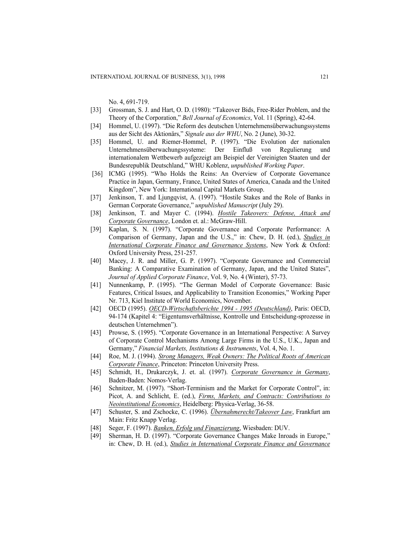No. 4, 691-719.

- [33] Grossman, S. J. and Hart, O. D. (1980): "Takeover Bids, Free-Rider Problem, and the Theory of the Corporation," *Bell Journal of Economics*, Vol. 11 (Spring), 42-64.
- [34] Hommel, U. (1997). "Die Reform des deutschen Unternehmensüberwachungssystems aus der Sicht des Aktionärs," *Signale aus der WHU*, No. 2 (June), 30-32.
- [35] Hommel, U. and Riemer-Hommel, P. (1997). "Die Evolution der nationalen Unternehmensüberwachungssysteme: Der Einfluß von Regulierung und internationalem Wettbewerb aufgezeigt am Beispiel der Vereinigten Staaten und der Bundesrepublik Deutschland," WHU Koblenz, *unpublished Working Paper*.
- [36] ICMG (1995). "Who Holds the Reins: An Overview of Corporate Governance Practice in Japan, Germany, France, United States of America, Canada and the United Kingdom", New York: International Capital Markets Group.
- [37] Jenkinson, T. and Ljungqvist, A. (1997). "Hostile Stakes and the Role of Banks in German Corporate Governance," *unpublished Manuscript* (July 29).
- [38] Jenkinson, T. and Mayer C. (1994). *Hostile Takeovers: Defense, Attack and Corporate Governance*, London et. al.: McGraw-Hill.
- [39] Kaplan, S. N. (1997). "Corporate Governance and Corporate Performance: A Comparison of Germany, Japan and the U.S.," in: Chew, D. H. (ed.), *Studies in International Corporate Finance and Governance Systems*, New York & Oxford: Oxford University Press, 251-257.
- [40] Macey, J. R. and Miller, G. P. (1997). "Corporate Governance and Commercial Banking: A Comparative Examination of Germany, Japan, and the United States", *Journal of Applied Corporate Finance*, Vol. 9, No. 4 (Winter), 57-73.
- [41] Nunnenkamp, P. (1995). "The German Model of Corporate Governance: Basic Features, Critical Issues, and Applicability to Transition Economies," Working Paper Nr. 713, Kiel Institute of World Economics, November.
- [42] OECD (1995). *OECD-Wirtschaftsberichte 1994 1995 (Deutschland)*, Paris: OECD, 94-174 (Kapitel 4: "Eigentumsverhältnisse, Kontrolle und Entscheidung-sprozesse in deutschen Unternehmen").
- [43] Prowse, S. (1995). "Corporate Governance in an International Perspective: A Survey of Corporate Control Mechanisms Among Large Firms in the U.S., U.K., Japan and Germany," *Financial Markets, Institutions & Instruments*, Vol. 4, No. 1.
- [44] Roe, M. J. (1994). *Strong Managers, Weak Owners: The Political Roots of American Corporate Finance*, Princeton: Princeton University Press.
- [45] Schmidt, H., Drukarczyk, J. et. al. (1997). *Corporate Governance in Germany*, Baden-Baden: Nomos-Verlag.
- [46] Schnitzer, M. (1997). "Short-Terminism and the Market for Corporate Control", in: Picot, A. and Schlicht, E. (ed.), *Firms, Markets, and Contracts: Contributions to Neoinstitutional Economics*, Heidelberg: Physica-Verlag, 36-58.
- [47] Schuster, S. and Zschocke, C. (1996). *Übernahmerecht/Takeover Law*, Frankfurt am Main: Fritz Knapp Verlag.
- [48] Seger, F. (1997). *Banken, Erfolg und Finanzierung*, Wiesbaden: DUV.
- [49] Sherman, H. D. (1997). "Corporate Governance Changes Make Inroads in Europe," in: Chew, D. H. (ed.), *Studies in International Corporate Finance and Governance*